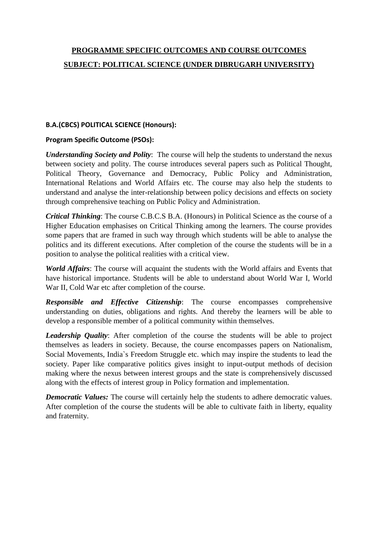# **PROGRAMME SPECIFIC OUTCOMES AND COURSE OUTCOMES SUBJECT: POLITICAL SCIENCE (UNDER DIBRUGARH UNIVERSITY)**

# **B.A.(CBCS) POLITICAL SCIENCE (Honours):**

# **Program Specific Outcome (PSOs):**

*Understanding Society and Polity*: The course will help the students to understand the nexus between society and polity. The course introduces several papers such as Political Thought, Political Theory, Governance and Democracy, Public Policy and Administration, International Relations and World Affairs etc. The course may also help the students to understand and analyse the inter-relationship between policy decisions and effects on society through comprehensive teaching on Public Policy and Administration.

*Critical Thinking*: The course C.B.C.S B.A. (Honours) in Political Science as the course of a Higher Education emphasises on Critical Thinking among the learners. The course provides some papers that are framed in such way through which students will be able to analyse the politics and its different executions. After completion of the course the students will be in a position to analyse the political realities with a critical view.

*World Affairs*: The course will acquaint the students with the World affairs and Events that have historical importance. Students will be able to understand about World War I, World War II, Cold War etc after completion of the course.

*Responsible and Effective Citizenship*: The course encompasses comprehensive understanding on duties, obligations and rights. And thereby the learners will be able to develop a responsible member of a political community within themselves.

*Leadership Quality*: After completion of the course the students will be able to project themselves as leaders in society. Because, the course encompasses papers on Nationalism, Social Movements, India`s Freedom Struggle etc. which may inspire the students to lead the society. Paper like comparative politics gives insight to input-output methods of decision making where the nexus between interest groups and the state is comprehensively discussed along with the effects of interest group in Policy formation and implementation.

*Democratic Values:* The course will certainly help the students to adhere democratic values. After completion of the course the students will be able to cultivate faith in liberty, equality and fraternity.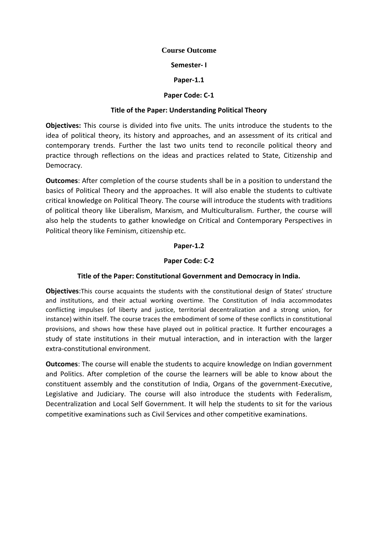## **Course Outcome**

## **Semester- I**

## **Paper-1.1**

# **Paper Code: C-1**

## **Title of the Paper: Understanding Political Theory**

**Objectives:** This course is divided into five units. The units introduce the students to the idea of political theory, its history and approaches, and an assessment of its critical and contemporary trends. Further the last two units tend to reconcile political theory and practice through reflections on the ideas and practices related to State, Citizenship and Democracy.

**Outcomes**: After completion of the course students shall be in a position to understand the basics of Political Theory and the approaches. It will also enable the students to cultivate critical knowledge on Political Theory. The course will introduce the students with traditions of political theory like Liberalism, Marxism, and Multiculturalism. Further, the course will also help the students to gather knowledge on Critical and Contemporary Perspectives in Political theory like Feminism, citizenship etc.

## **Paper-1.2**

## **Paper Code: C-2**

# **Title of the Paper: Constitutional Government and Democracy in India.**

**Objectives**:This course acquaints the students with the constitutional design of States' structure and institutions, and their actual working overtime. The Constitution of India accommodates conflicting impulses (of liberty and justice, territorial decentralization and a strong union, for instance) within itself. The course traces the embodiment of some of these conflicts in constitutional provisions, and shows how these have played out in political practice. It further encourages a study of state institutions in their mutual interaction, and in interaction with the larger extra-constitutional environment.

**Outcomes**: The course will enable the students to acquire knowledge on Indian government and Politics. After completion of the course the learners will be able to know about the constituent assembly and the constitution of India, Organs of the government-Executive, Legislative and Judiciary. The course will also introduce the students with Federalism, Decentralization and Local Self Government. It will help the students to sit for the various competitive examinations such as Civil Services and other competitive examinations.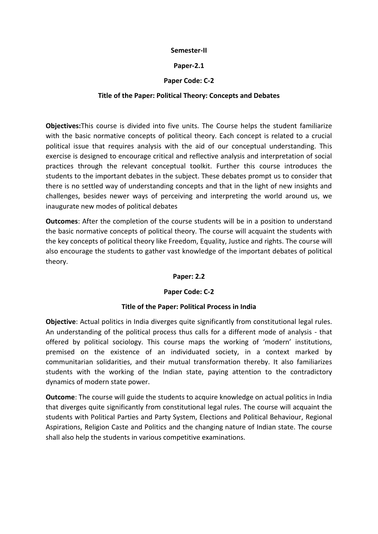## **Semester-II**

## **Paper-2.1**

# **Paper Code: C-2**

## **Title of the Paper: Political Theory: Concepts and Debates**

**Objectives:**This course is divided into five units. The Course helps the student familiarize with the basic normative concepts of political theory. Each concept is related to a crucial political issue that requires analysis with the aid of our conceptual understanding. This exercise is designed to encourage critical and reflective analysis and interpretation of social practices through the relevant conceptual toolkit. Further this course introduces the students to the important debates in the subject. These debates prompt us to consider that there is no settled way of understanding concepts and that in the light of new insights and challenges, besides newer ways of perceiving and interpreting the world around us, we inaugurate new modes of political debates

**Outcomes**: After the completion of the course students will be in a position to understand the basic normative concepts of political theory. The course will acquaint the students with the key concepts of political theory like Freedom, Equality, Justice and rights. The course will also encourage the students to gather vast knowledge of the important debates of political theory.

## **Paper: 2.2**

# **Paper Code: C-2**

## **Title of the Paper: Political Process in India**

**Objective**: Actual politics in India diverges quite significantly from constitutional legal rules. An understanding of the political process thus calls for a different mode of analysis - that offered by political sociology. This course maps the working of 'modern' institutions, premised on the existence of an individuated society, in a context marked by communitarian solidarities, and their mutual transformation thereby. It also familiarizes students with the working of the Indian state, paying attention to the contradictory dynamics of modern state power.

**Outcome**: The course will guide the students to acquire knowledge on actual politics in India that diverges quite significantly from constitutional legal rules. The course will acquaint the students with Political Parties and Party System, Elections and Political Behaviour, Regional Aspirations, Religion Caste and Politics and the changing nature of Indian state. The course shall also help the students in various competitive examinations.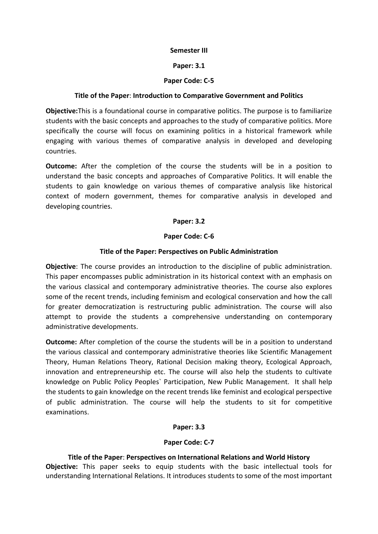#### **Semester III**

## **Paper: 3.1**

## **Paper Code: C-5**

## **Title of the Paper**: **Introduction to Comparative Government and Politics**

**Objective:**This is a foundational course in comparative politics. The purpose is to familiarize students with the basic concepts and approaches to the study of comparative politics. More specifically the course will focus on examining politics in a historical framework while engaging with various themes of comparative analysis in developed and developing countries.

**Outcome:** After the completion of the course the students will be in a position to understand the basic concepts and approaches of Comparative Politics. It will enable the students to gain knowledge on various themes of comparative analysis like historical context of modern government, themes for comparative analysis in developed and developing countries.

## **Paper: 3.2**

## **Paper Code: C-6**

## **Title of the Paper: Perspectives on Public Administration**

**Objective**: The course provides an introduction to the discipline of public administration. This paper encompasses public administration in its historical context with an emphasis on the various classical and contemporary administrative theories. The course also explores some of the recent trends, including feminism and ecological conservation and how the call for greater democratization is restructuring public administration. The course will also attempt to provide the students a comprehensive understanding on contemporary administrative developments.

**Outcome:** After completion of the course the students will be in a position to understand the various classical and contemporary administrative theories like Scientific Management Theory, Human Relations Theory, Rational Decision making theory, Ecological Approach, innovation and entrepreneurship etc. The course will also help the students to cultivate knowledge on Public Policy Peoples` Participation, New Public Management. It shall help the students to gain knowledge on the recent trends like feminist and ecological perspective of public administration. The course will help the students to sit for competitive examinations.

# **Paper: 3.3**

# **Paper Code: C-7**

# **Title of the Paper**: **Perspectives on International Relations and World History**

**Objective:** This paper seeks to equip students with the basic intellectual tools for understanding International Relations. It introduces students to some of the most important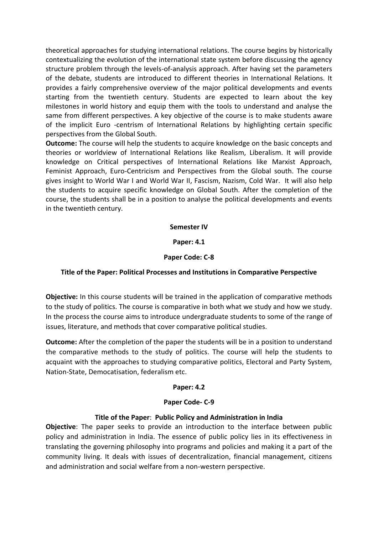theoretical approaches for studying international relations. The course begins by historically contextualizing the evolution of the international state system before discussing the agency structure problem through the levels-of-analysis approach. After having set the parameters of the debate, students are introduced to different theories in International Relations. It provides a fairly comprehensive overview of the major political developments and events starting from the twentieth century. Students are expected to learn about the key milestones in world history and equip them with the tools to understand and analyse the same from different perspectives. A key objective of the course is to make students aware of the implicit Euro -centrism of International Relations by highlighting certain specific perspectives from the Global South.

**Outcome:** The course will help the students to acquire knowledge on the basic concepts and theories or worldview of International Relations like Realism, Liberalism. It will provide knowledge on Critical perspectives of International Relations like Marxist Approach, Feminist Approach, Euro-Centricism and Perspectives from the Global south. The course gives insight to World War I and World War II, Fascism, Nazism, Cold War. It will also help the students to acquire specific knowledge on Global South. After the completion of the course, the students shall be in a position to analyse the political developments and events in the twentieth century.

## **Semester IV**

## **Paper: 4.1**

## **Paper Code: C-8**

## **Title of the Paper: Political Processes and Institutions in Comparative Perspective**

**Objective:** In this course students will be trained in the application of comparative methods to the study of politics. The course is comparative in both what we study and how we study. In the process the course aims to introduce undergraduate students to some of the range of issues, literature, and methods that cover comparative political studies.

**Outcome:** After the completion of the paper the students will be in a position to understand the comparative methods to the study of politics. The course will help the students to acquaint with the approaches to studying comparative politics, Electoral and Party System, Nation-State, Democatisation, federalism etc.

## **Paper: 4.2**

## **Paper Code- C-9**

## **Title of the Paper**: **Public Policy and Administration in India**

**Objective**: The paper seeks to provide an introduction to the interface between public policy and administration in India. The essence of public policy lies in its effectiveness in translating the governing philosophy into programs and policies and making it a part of the community living. It deals with issues of decentralization, financial management, citizens and administration and social welfare from a non-western perspective.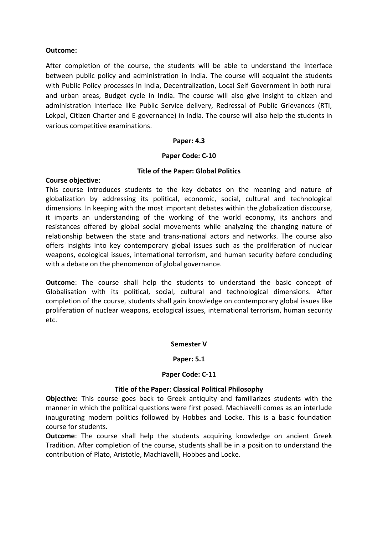## **Outcome:**

After completion of the course, the students will be able to understand the interface between public policy and administration in India. The course will acquaint the students with Public Policy processes in India, Decentralization, Local Self Government in both rural and urban areas, Budget cycle in India. The course will also give insight to citizen and administration interface like Public Service delivery, Redressal of Public Grievances (RTI, Lokpal, Citizen Charter and E-governance) in India. The course will also help the students in various competitive examinations.

## **Paper: 4.3**

## **Paper Code: C-10**

## **Title of the Paper: Global Politics**

## **Course objective**:

This course introduces students to the key debates on the meaning and nature of globalization by addressing its political, economic, social, cultural and technological dimensions. In keeping with the most important debates within the globalization discourse, it imparts an understanding of the working of the world economy, its anchors and resistances offered by global social movements while analyzing the changing nature of relationship between the state and trans-national actors and networks. The course also offers insights into key contemporary global issues such as the proliferation of nuclear weapons, ecological issues, international terrorism, and human security before concluding with a debate on the phenomenon of global governance.

**Outcome**: The course shall help the students to understand the basic concept of Globalisation with its political, social, cultural and technological dimensions. After completion of the course, students shall gain knowledge on contemporary global issues like proliferation of nuclear weapons, ecological issues, international terrorism, human security etc.

## **Semester V**

## **Paper: 5.1**

## **Paper Code: C-11**

# **Title of the Paper**: **Classical Political Philosophy**

**Objective:** This course goes back to Greek antiquity and familiarizes students with the manner in which the political questions were first posed. Machiavelli comes as an interlude inaugurating modern politics followed by Hobbes and Locke. This is a basic foundation course for students.

**Outcome**: The course shall help the students acquiring knowledge on ancient Greek Tradition. After completion of the course, students shall be in a position to understand the contribution of Plato, Aristotle, Machiavelli, Hobbes and Locke.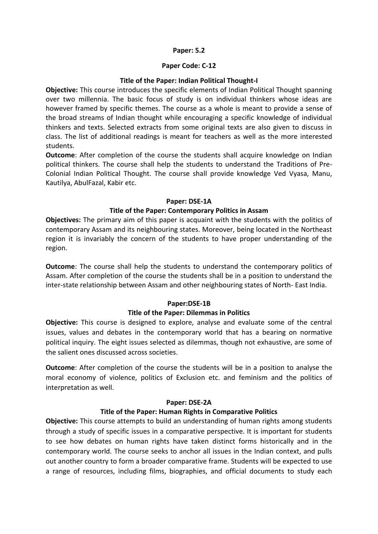## **Paper: 5.2**

## **Paper Code: C-12**

## **Title of the Paper: Indian Political Thought-I**

**Objective:** This course introduces the specific elements of Indian Political Thought spanning over two millennia. The basic focus of study is on individual thinkers whose ideas are however framed by specific themes. The course as a whole is meant to provide a sense of the broad streams of Indian thought while encouraging a specific knowledge of individual thinkers and texts. Selected extracts from some original texts are also given to discuss in class. The list of additional readings is meant for teachers as well as the more interested students.

**Outcome**: After completion of the course the students shall acquire knowledge on Indian political thinkers. The course shall help the students to understand the Traditions of Pre-Colonial Indian Political Thought. The course shall provide knowledge Ved Vyasa, Manu, Kautilya, AbulFazal, Kabir etc.

## **Paper: DSE-1A**

# **Title of the Paper: Contemporary Politics in Assam**

**Objectives:** The primary aim of this paper is acquaint with the students with the politics of contemporary Assam and its neighbouring states. Moreover, being located in the Northeast region it is invariably the concern of the students to have proper understanding of the region.

**Outcome**: The course shall help the students to understand the contemporary politics of Assam. After completion of the course the students shall be in a position to understand the inter-state relationship between Assam and other neighbouring states of North- East India.

# **Paper:DSE-1B**

## **Title of the Paper: Dilemmas in Politics**

**Objective:** This course is designed to explore, analyse and evaluate some of the central issues, values and debates in the contemporary world that has a bearing on normative political inquiry. The eight issues selected as dilemmas, though not exhaustive, are some of the salient ones discussed across societies.

**Outcome**: After completion of the course the students will be in a position to analyse the moral economy of violence, politics of Exclusion etc. and feminism and the politics of interpretation as well.

## **Paper: DSE-2A**

# **Title of the Paper: Human Rights in Comparative Politics**

**Objective:** This course attempts to build an understanding of human rights among students through a study of specific issues in a comparative perspective. It is important for students to see how debates on human rights have taken distinct forms historically and in the contemporary world. The course seeks to anchor all issues in the Indian context, and pulls out another country to form a broader comparative frame. Students will be expected to use a range of resources, including films, biographies, and official documents to study each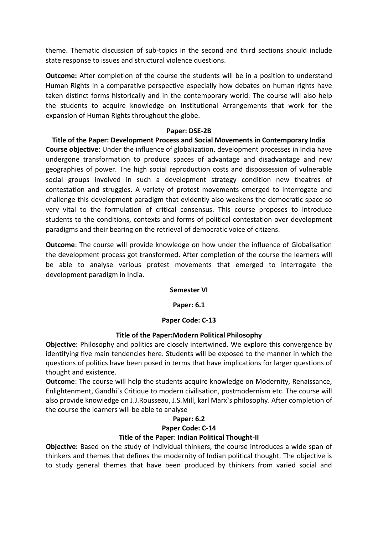theme. Thematic discussion of sub-topics in the second and third sections should include state response to issues and structural violence questions.

**Outcome:** After completion of the course the students will be in a position to understand Human Rights in a comparative perspective especially how debates on human rights have taken distinct forms historically and in the contemporary world. The course will also help the students to acquire knowledge on Institutional Arrangements that work for the expansion of Human Rights throughout the globe.

## **Paper: DSE-2B**

**Title of the Paper: Development Process and Social Movements in Contemporary India Course objective**: Under the influence of globalization, development processes in India have undergone transformation to produce spaces of advantage and disadvantage and new geographies of power. The high social reproduction costs and dispossession of vulnerable social groups involved in such a development strategy condition new theatres of contestation and struggles. A variety of protest movements emerged to interrogate and challenge this development paradigm that evidently also weakens the democratic space so very vital to the formulation of critical consensus. This course proposes to introduce students to the conditions, contexts and forms of political contestation over development paradigms and their bearing on the retrieval of democratic voice of citizens.

**Outcome**: The course will provide knowledge on how under the influence of Globalisation the development process got transformed. After completion of the course the learners will be able to analyse various protest movements that emerged to interrogate the development paradigm in India.

## **Semester VI**

## **Paper: 6.1**

# **Paper Code: C-13**

## **Title of the Paper:Modern Political Philosophy**

**Objective:** Philosophy and politics are closely intertwined. We explore this convergence by identifying five main tendencies here. Students will be exposed to the manner in which the questions of politics have been posed in terms that have implications for larger questions of thought and existence.

**Outcome**: The course will help the students acquire knowledge on Modernity, Renaissance, Enlightenment, Gandhi`s Critique to modern civilisation, postmodernism etc. The course will also provide knowledge on J.J.Rousseau, J.S.Mill, karl Marx`s philosophy. After completion of the course the learners will be able to analyse

# **Paper: 6.2**

## **Paper Code: C-14**

# **Title of the Paper**: **Indian Political Thought-II**

**Objective:** Based on the study of individual thinkers, the course introduces a wide span of thinkers and themes that defines the modernity of Indian political thought. The objective is to study general themes that have been produced by thinkers from varied social and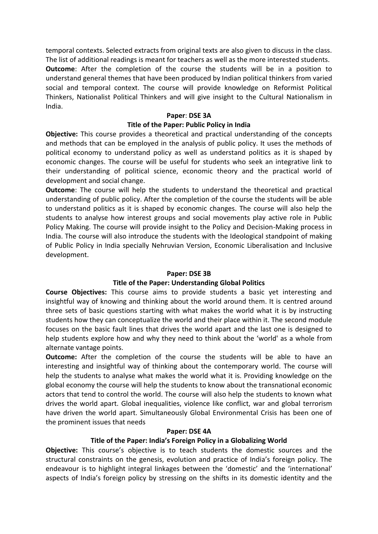temporal contexts. Selected extracts from original texts are also given to discuss in the class. The list of additional readings is meant for teachers as well as the more interested students. **Outcome**: After the completion of the course the students will be in a position to understand general themes that have been produced by Indian political thinkers from varied social and temporal context. The course will provide knowledge on Reformist Political Thinkers, Nationalist Political Thinkers and will give insight to the Cultural Nationalism in India.

#### **Paper**: **DSE 3A**

## **Title of the Paper: Public Policy in India**

**Objective:** This course provides a theoretical and practical understanding of the concepts and methods that can be employed in the analysis of public policy. It uses the methods of political economy to understand policy as well as understand politics as it is shaped by economic changes. The course will be useful for students who seek an integrative link to their understanding of political science, economic theory and the practical world of development and social change.

**Outcome**: The course will help the students to understand the theoretical and practical understanding of public policy. After the completion of the course the students will be able to understand politics as it is shaped by economic changes. The course will also help the students to analyse how interest groups and social movements play active role in Public Policy Making. The course will provide insight to the Policy and Decision-Making process in India. The course will also introduce the students with the Ideological standpoint of making of Public Policy in India specially Nehruvian Version, Economic Liberalisation and Inclusive development.

## **Paper: DSE 3B**

## **Title of the Paper: Understanding Global Politics**

**Course Objectives:** This course aims to provide students a basic yet interesting and insightful way of knowing and thinking about the world around them. It is centred around three sets of basic questions starting with what makes the world what it is by instructing students how they can conceptualize the world and their place within it. The second module focuses on the basic fault lines that drives the world apart and the last one is designed to help students explore how and why they need to think about the 'world' as a whole from alternate vantage points.

**Outcome:** After the completion of the course the students will be able to have an interesting and insightful way of thinking about the contemporary world. The course will help the students to analyse what makes the world what it is. Providing knowledge on the global economy the course will help the students to know about the transnational economic actors that tend to control the world. The course will also help the students to known what drives the world apart. Global inequalities, violence like conflict, war and global terrorism have driven the world apart. Simultaneously Global Environmental Crisis has been one of the prominent issues that needs

## **Paper: DSE 4A**

## **Title of the Paper: India's Foreign Policy in a Globalizing World**

**Objective:** This course's objective is to teach students the domestic sources and the structural constraints on the genesis, evolution and practice of India's foreign policy. The endeavour is to highlight integral linkages between the 'domestic' and the 'international' aspects of India's foreign policy by stressing on the shifts in its domestic identity and the